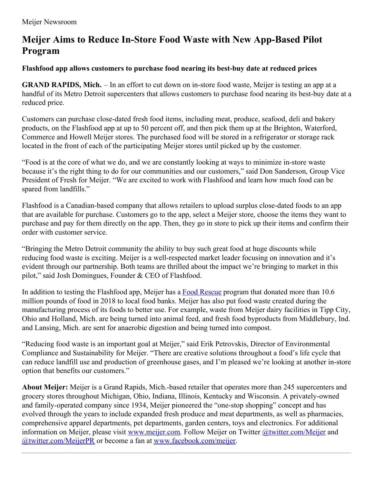## **Meijer Aims to Reduce In-Store Food Waste with New App-Based Pilot Program**

## **Flashfood app allows customers to purchase food nearing its best-buy date at reduced prices**

**GRAND RAPIDS, Mich.** – In an effort to cut down on in-store food waste, Meijer is testing an app at a handful of its Metro Detroit supercenters that allows customers to purchase food nearing its best-buy date at a reduced price.

Customers can purchase close-dated fresh food items, including meat, produce, seafood, deli and bakery products, on the Flashfood app at up to 50 percent off, and then pick them up at the Brighton, Waterford, Commerce and Howell Meijer stores. The purchased food will be stored in a refrigerator or storage rack located in the front of each of the participating Meijer stores until picked up by the customer.

"Food is at the core of what we do, and we are constantly looking at ways to minimize in-store waste because it's the right thing to do for our communities and our customers," said Don Sanderson, Group Vice President of Fresh for Meijer. "We are excited to work with Flashfood and learn how much food can be spared from landfills."

Flashfood is a Canadian-based company that allows retailers to upload surplus close-dated foods to an app that are available for purchase. Customers go to the app, select a Meijer store, choose the items they want to purchase and pay for them directly on the app. Then, they go in store to pick up their items and confirm their order with customer service.

"Bringing the Metro Detroit community the ability to buy such great food at huge discounts while reducing food waste is exciting. Meijer is a well-respected market leader focusing on innovation and it's evident through our partnership. Both teams are thrilled about the impact we're bringing to market in this pilot," said Josh Domingues, Founder & CEO of Flashfood.

In addition to testing the Flashfood app, Meijer has a Food [Rescue](http://meijercommunity.com/community-needs/hunger-relief/food-rescue/) program that donated more than 10.6 million pounds of food in 2018 to local food banks. Meijer has also put food waste created during the manufacturing process of its foods to better use. For example, waste from Meijer dairy facilities in Tipp City, Ohio and Holland, Mich. are being turned into animal feed, and fresh food byproducts from Middlebury, Ind. and Lansing, Mich. are sent for anaerobic digestion and being turned into compost.

"Reducing food waste is an important goal at Meijer," said Erik Petrovskis, Director of Environmental Compliance and Sustainability for Meijer. "There are creative solutions throughout a food's life cycle that can reduce landfill use and production of greenhouse gases, and I'm pleased we're looking at another in-store option that benefits our customers."

**About Meijer:** Meijer is a Grand Rapids, Mich.-based retailer that operates more than 245 supercenters and grocery stores throughout Michigan, Ohio, Indiana, Illinois, Kentucky and Wisconsin. A privately-owned and family-operated company since 1934, Meijer pioneered the "one-stop shopping" concept and has evolved through the years to include expanded fresh produce and meat departments, as well as pharmacies, comprehensive apparel departments, pet departments, garden centers, toys and electronics. For additional information on Meijer, please visit [www.meijer.com](http://www.meijer.com/). Follow Meijer on Twitter [@twitter.com/Meijer](http://www.twitter.com/Meijer) and [@twitter.com/MeijerPR](http://www.twitter.com/MeijerPR) or become a fan at [www.facebook.com/meijer](http://www.facebook.com/meijer).